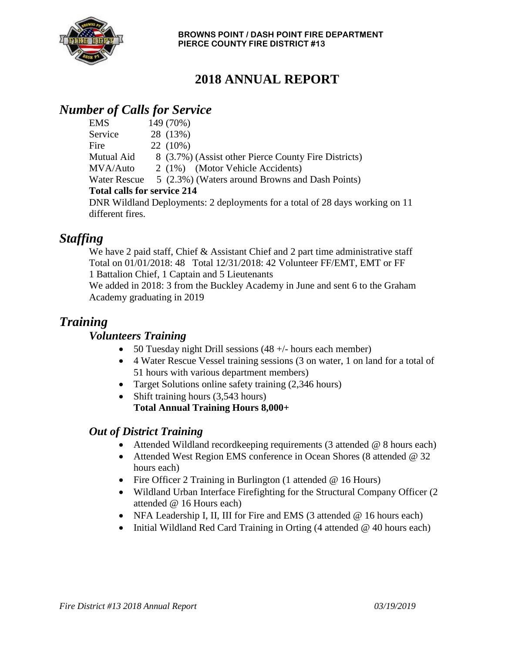

## **2018 ANNUAL REPORT**

## *Number of Calls for Service*

| <b>EMS</b>                         | 149 (70%)                                                                    |
|------------------------------------|------------------------------------------------------------------------------|
| Service                            | 28 (13%)                                                                     |
| Fire                               | 22 (10%)                                                                     |
| Mutual Aid                         | 8 (3.7%) (Assist other Pierce County Fire Districts)                         |
| MVA/Auto                           | 2 (1%) (Motor Vehicle Accidents)                                             |
|                                    | Water Rescue 5 (2.3%) (Waters around Browns and Dash Points)                 |
| <b>Total calls for service 214</b> |                                                                              |
|                                    | DNR Wildland Deployments: 2 deployments for a total of 28 days working on 11 |
| different fires.                   |                                                                              |

## *Staffing*

We have 2 paid staff, Chief & Assistant Chief and 2 part time administrative staff Total on 01/01/2018: 48 Total 12/31/2018: 42 Volunteer FF/EMT, EMT or FF 1 Battalion Chief, 1 Captain and 5 Lieutenants

We added in 2018: 3 from the Buckley Academy in June and sent 6 to the Graham Academy graduating in 2019

## *Training*

#### *Volunteers Training*

- 50 Tuesday night Drill sessions  $(48 +/-)$  hours each member)
- 4 Water Rescue Vessel training sessions (3 on water, 1 on land for a total of 51 hours with various department members)
- Target Solutions online safety training (2,346 hours)
- Shift training hours (3,543 hours) **Total Annual Training Hours 8,000+**

#### *Out of District Training*

- Attended Wildland recordkeeping requirements (3 attended @ 8 hours each)
- Attended West Region EMS conference in Ocean Shores (8 attended @ 32) hours each)
- Fire Officer 2 Training in Burlington (1 attended @ 16 Hours)
- Wildland Urban Interface Firefighting for the Structural Company Officer (2) attended @ 16 Hours each)
- NFA Leadership I, II, III for Fire and EMS (3 attended @ 16 hours each)
- Initial Wildland Red Card Training in Orting (4 attended @ 40 hours each)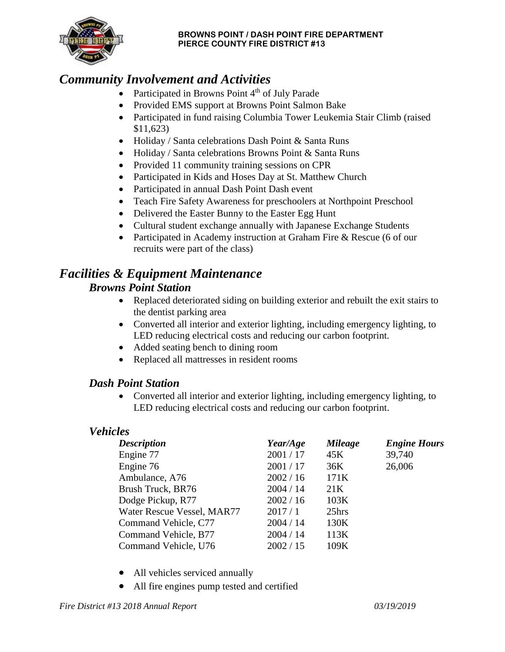

#### **BROWNS POINT / DASH POINT FIRE DEPARTMENT PIERCE COUNTY FIRE DISTRICT #13**

## *Community Involvement and Activities*

- Participated in Browns Point  $4<sup>th</sup>$  of July Parade
- Provided EMS support at Browns Point Salmon Bake
- Participated in fund raising Columbia Tower Leukemia Stair Climb (raised \$11,623)
- Holiday / Santa celebrations Dash Point & Santa Runs
- Holiday / Santa celebrations Browns Point & Santa Runs
- Provided 11 community training sessions on CPR
- Participated in Kids and Hoses Day at St. Matthew Church
- Participated in annual Dash Point Dash event
- Teach Fire Safety Awareness for preschoolers at Northpoint Preschool
- Delivered the Easter Bunny to the Easter Egg Hunt
- Cultural student exchange annually with Japanese Exchange Students
- Participated in Academy instruction at Graham Fire & Rescue (6 of our recruits were part of the class)

# *Facilities & Equipment Maintenance*

## *Browns Point Station*

- Replaced deteriorated siding on building exterior and rebuilt the exit stairs to the dentist parking area
- Converted all interior and exterior lighting, including emergency lighting, to LED reducing electrical costs and reducing our carbon footprint.
- Added seating bench to dining room
- Replaced all mattresses in resident rooms

#### *Dash Point Station*

• Converted all interior and exterior lighting, including emergency lighting, to LED reducing electrical costs and reducing our carbon footprint.

#### *Vehicles*

| <b>Description</b>         | Year/Age  | <b>Mileage</b>  | <b>Engine Hours</b> |
|----------------------------|-----------|-----------------|---------------------|
| Engine 77                  | 2001/17   | 45K             | 39,740              |
| Engine 76                  | 2001/17   | 36K             | 26,006              |
| Ambulance, A76             | 2002 / 16 | 171K            |                     |
| Brush Truck, BR76          | 2004 / 14 | 21 <sub>K</sub> |                     |
| Dodge Pickup, R77          | 2002 / 16 | 103K            |                     |
| Water Rescue Vessel, MAR77 | 2017/1    | 25hrs           |                     |
| Command Vehicle, C77       | 2004 / 14 | 130K            |                     |
| Command Vehicle, B77       | 2004 / 14 | 113K            |                     |
| Command Vehicle, U76       | 2002 / 15 | 109K            |                     |

- All vehicles serviced annually
- All fire engines pump tested and certified